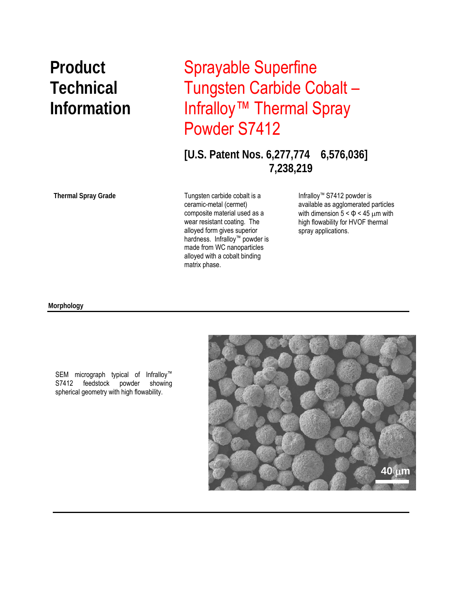# **Product** Sprayable Superfine **Technical** Tungsten Carbide Cobalt – **Information** Infralloy™ Thermal Spray Powder S7412

**[U.S. Patent Nos. 6,277,774 6,576,036] 7,238,219** 

**Thermal Spray Grade** 

 matrix phase. Tungsten carbide cobalt is a ceramic-metal (cermet) composite material used as a wear resistant coating. The alloyed form gives superior hardness. Infralloy™ powder is made from WC nanoparticles alloyed with a cobalt binding

Infralloy™ S7412 powder is available as agglomerated particles with dimension  $5 < \Phi < 45$  µm with high flowability for HVOF thermal spray applications.

#### **Morphology**



SEM micrograph typical of Infralloy™<br>S7412 feedstock powder showing S7412 feedstock powder showing spherical geometry with high flowability.